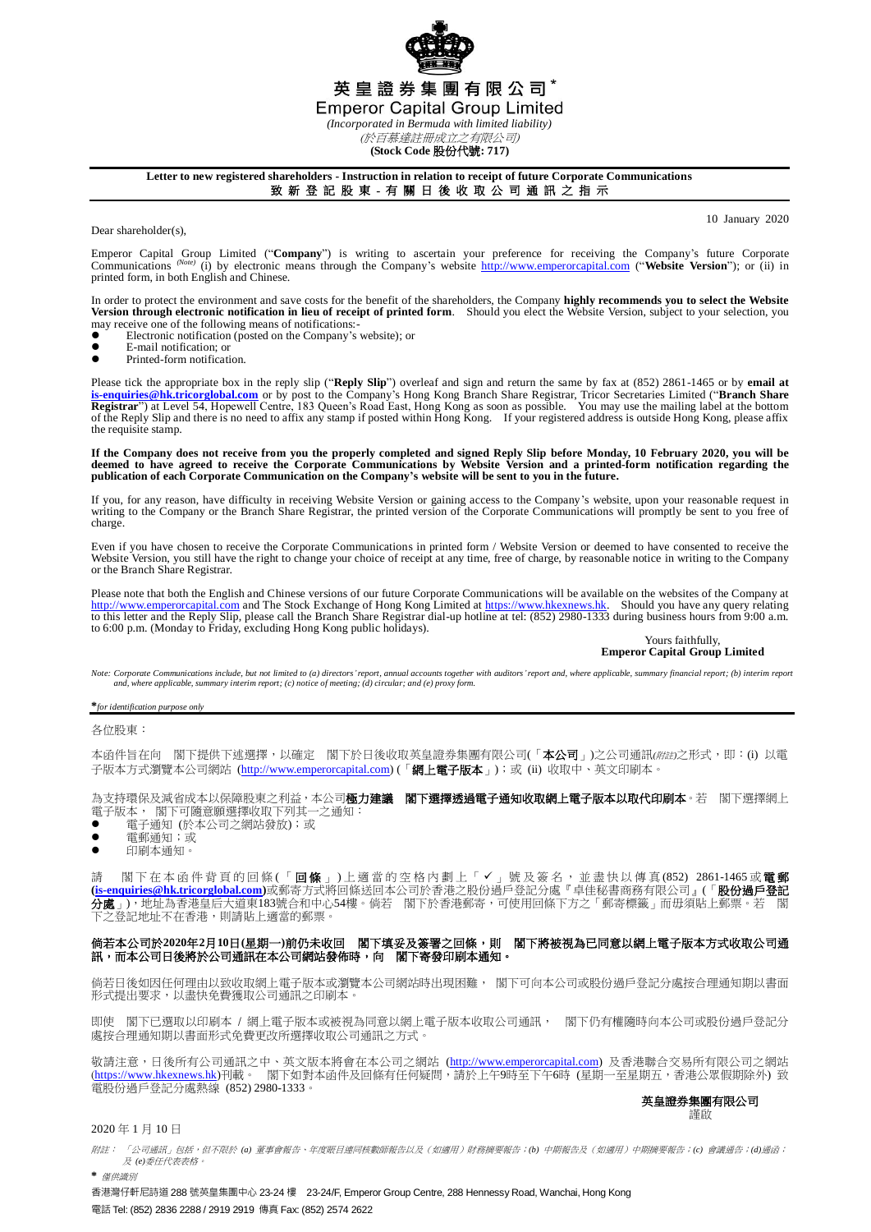

英皇證券集團有限公司\*

**Emperor Capital Group Limited** 

*(Incorporated in Bermuda with limited liability)* (於百慕達註冊成立之有限公司)

**(Stock Code** 股份代號**: 717)**

# **Letter to new registered shareholders - Instruction in relation to receipt of future Corporate Communications**

致 新 登 記 股 東 - 有 關 日 後 收 取 公 司 通 訊 之 指 示

10 January 2020

Dear shareholder(s),

Emperor Capital Group Limited ("Company") is writing to ascertain your preference for receiving the Company's future Corporate Company's future Corporate Company's future Corporate Company's future Corporate Company's webs printed form, in both English and Chinese.

In order to protect the environment and save costs for the benefit of the shareholders, the Company **highly recommends you to select the Website**<br>Version through electronic notification in lieu of receipt of printed form.

- may receive one of the following means of notifications:<br>• Electronic notification (posted on the Company's  $\bullet$  Electronic notification (posted on the Company's website); or
- $\bullet$  E-mail notification; or
- Printed-form notification.

Please tick the appropriate box in the reply slip ("**Reply Slip**") overleaf and sign and return the same by fax at (852) 2861-1465 or by **email at [is-enquiries@hk.tricorglobal.com](mailto:is-enquiries@hk.tricorglobal.com)** or by post to the Company's Hong Kong Branch Share Registrar, Tricor Secretaries Limited ("**Branch Share**  Registrar") at Level 54, Hopewell Centre, 183 Queen's Road East, Hong Kong as soon as possible. You may use the mailing label at the bottom<br>of the Reply Slip and there is no need to affix any stamp if posted within Hong Ko the requisite stamp.

**If the Company does not receive from you the properly completed and signed Reply Slip before Monday, 10 February 2020, you will be deemed to have agreed to receive the Corporate Communications by Website Version and a printed-form notification regarding the publication of each Corporate Communication on the Company's website will be sent to you in the future.**

If you, for any reason, have difficulty in receiving Website Version or gaining access to the Company's website, upon your reasonable request in writing to the Company or the Branch Share Registrar, the printed version of the Corporate Communications will promptly be sent to you free of charge

Even if you have chosen to receive the Corporate Communications in printed form / Website Version or deemed to have consented to receive the Website Version, you still have the right to change your choice of receipt at any time, free of charge, by reasonable notice in writing to the Company or the Branch Share Registrar.

Please note that both the English and Chinese versions of our future Corporate Communications will be available on the websites of the Company at [http://www.emperorcapital.com](http://www.emperorcapital.com/) and The Stock Exchange of Hong Kong Limited at [https://www.hkexnews.hk.](https://www.hkexnews.hk/) Should you have any query relating<br>to this letter and the Reply Slip, please call the Branch Share Registrar dial-up hot

#### Yours faithfully, **Emperor Capital Group Limited**

Note: Corporate Communications include, but not limited to (a) directors' report, annual accounts together with auditors' report and, where applicable, summary financial report; (b) interim report *and, where applicable, summary interim report; (c) notice of meeting; (d) circular; and (e) proxy form.*

**\****for identification purpose only*

各位股東:

本函件旨在向 閣下提供下述選擇,以確定 閣下於日後收取英皇證券集團有限公司(「本公司」)之公司通訊(*附註*)之形式,即:(i) 以電 子版本方式瀏覽本公司網站 [\(http://www.emperorcapital.com\)](http://www.emperorcapital.com/) (「網上電子版本」);或 (ii) 收取中、英文印刷本。

為支持環保及減省成本以保障股東之利益,本公司**極力建議 閣下選擇透過電子通知收取網上電子版本以取代印刷本**。若 閣下選擇網上 電子版本, 閣下可隨意願選擇收取下列其一之通知:

- 電子通知 (於本公司之網站發放);或
- 電郵通知;或
- 印刷本通知。

請 閣下在本 函 件 背 頁 的 回 條 (「 **回 條** 」) 上 適 當 的 空 格 内 劃 上 「 ✔ 」 號 及 簽 名 , 並 盡 快 以 傳 真 (852) 2861-1465 或 **電 郵 [\(is-enquiries@hk.tricorglobal.com\)](mailto:is-enquiries@hk.tricorglobal.com)**或郵寄方式將回條送回本公司於香港之股份過戶登記分處『卓佳秘書商務有限公司』(「股份過戶登記 分處」),地址為香港皇后大道東183號合和中心54樓。倘若 閣下於香港郵寄,可使用回條下方之「郵寄標籤」而毋須貼上郵票。若 閣 <u>。</u><br>2登記地址不在香港,則請貼上適當的郵票。

## 倘若本公司於**2020**年**2**月**10**日**(**星期一**)**前仍未收回 閣下填妥及簽署之回條,則 閣下將被視為已同意以網上電子版本方式收取公司通 訊,而本公司日後將於公司通訊在本公司網站發佈時,向 閣下寄發印刷本通知。

倘若日後如因任何理由以致收取網上電子版本或瀏覽本公司網站時出現困難, 閣下可向本公司或股份過戶登記分處按合理通知期以書面 形式提出要求,以盡快免費獲取公司通訊之印刷本。

即使 閣下已選取以印刷本 / 網上電子版本或被視為同意以網上電子版本收取公司通訊, 閣下仍有權隨時向本公司或股份過戶登記分 處按合理通知期以書面形式免費更改所選擇收取公司通訊之方式。

敬請注意,日後所有公司通訊之中、英文版本將會在本公司之網站 (<u>http://www.emperorcapital.com</u>) 及香港聯合交易所有限公司之網站 (<u>https://www.hkexnews.hk</u>)刊載。 閣下如對本函件及回條有任何疑問,請於上午9時至下午6時 (星期一至星期五,香港公眾假期除外) 致 電股份過戶登記分處熱線 (852) 2980-1333。

#### 英皇證券集團有限公司 謹啟

### 2020 年 1 月 10 日

附註: 「公司通訊」包括,但不限於 *(a)* 董事會報告、年度賬目連同核數師報告以及(如適用)財務摘要報告;*(b)* 中期報告及(如適用)中期摘要報告;*(c)* 會議通告;*(d)*通函; 及 *(e)*委任代表表格。 **\*** 僅供識別

香港灣仔軒尼詩道 288 號英皇集團中心 23-24 樓 23-24/F, Emperor Group Centre, 288 Hennessy Road, Wanchai, Hong Kong 電話 Tel: (852) 2836 2288 / 2919 2919 傳真 Fax: (852) 2574 2622